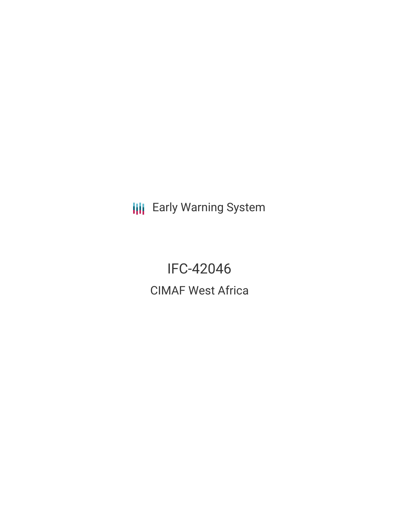**III** Early Warning System

IFC-42046 CIMAF West Africa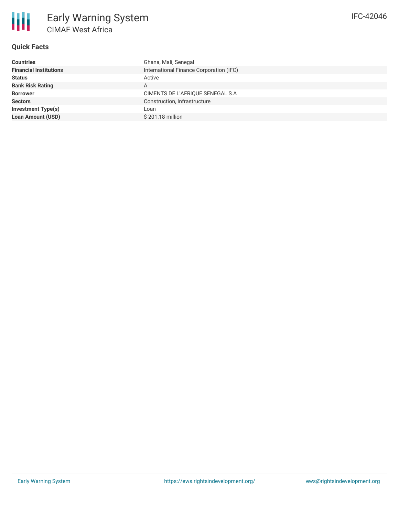## **Quick Facts**

| International Finance Corporation (IFC)<br><b>Financial Institutions</b> |  |
|--------------------------------------------------------------------------|--|
| <b>Status</b><br>Active                                                  |  |
| <b>Bank Risk Rating</b><br>A                                             |  |
| CIMENTS DE L'AFRIQUE SENEGAL S.A<br><b>Borrower</b>                      |  |
| Construction, Infrastructure<br><b>Sectors</b>                           |  |
| <b>Investment Type(s)</b><br>Loan                                        |  |
| <b>Loan Amount (USD)</b><br>\$201.18 million                             |  |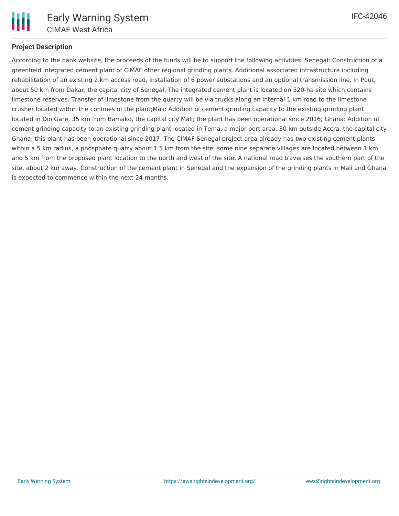

# **Project Description**

According to the bank website, the proceeds of the funds will be to support the following activities: Senegal: Construction of a greenfield integrated cement plant of CIMAF other regional grinding plants. Additional associated infrastructure including rehabilitation of an existing 2 km access road, installation of 6 power substations and an optional transmission line, in Pout, about 50 km from Dakar, the capital city of Senegal. The integrated cement plant is located on 520-ha site which contains limestone reserves. Transfer of limestone from the quarry will be via trucks along an internal 1 km road to the limestone crusher located within the confines of the plant;Mali: Addition of cement grinding capacity to the existing grinding plant located in Dio Gare, 35 km from Bamako, the capital city Mali; the plant has been operational since 2016; Ghana: Addition of cement grinding capacity to an existing grinding plant located in Tema, a major port area, 30 km outside Accra, the capital city Ghana; this plant has been operational since 2017. The CIMAF Senegal project area already has two existing cement plants within a 5 km radius, a phosphate quarry about 1.5 km from the site, some nine separate villages are located between 1 km and 5 km from the proposed plant location to the north and west of the site. A national road traverses the southern part of the site, about 2 km away. Construction of the cement plant in Senegal and the expansion of the grinding plants in Mali and Ghana is expected to commence within the next 24 months.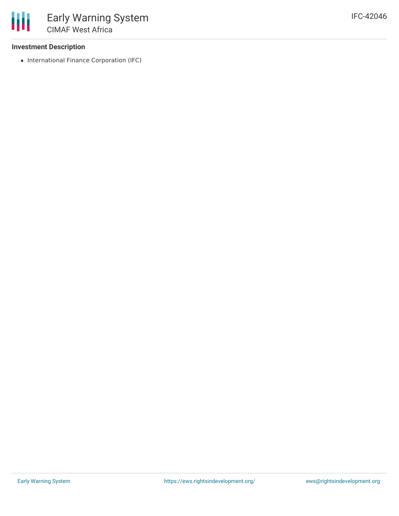### **Investment Description**

• International Finance Corporation (IFC)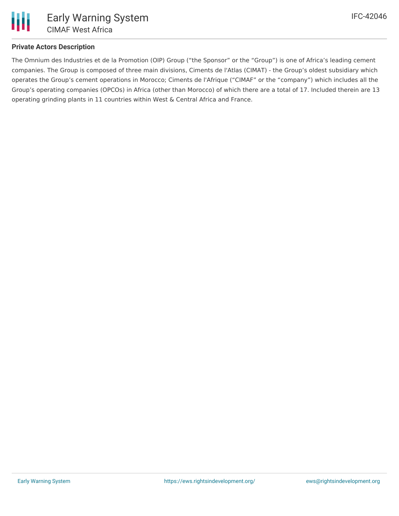

## **Private Actors Description**

The Omnium des Industries et de la Promotion (OIP) Group ("the Sponsor" or the "Group") is one of Africa's leading cement companies. The Group is composed of three main divisions, Ciments de l'Atlas (CIMAT) - the Group's oldest subsidiary which operates the Group's cement operations in Morocco; Ciments de l'Afrique ("CIMAF" or the "company") which includes all the Group's operating companies (OPCOs) in Africa (other than Morocco) of which there are a total of 17. Included therein are 13 operating grinding plants in 11 countries within West & Central Africa and France.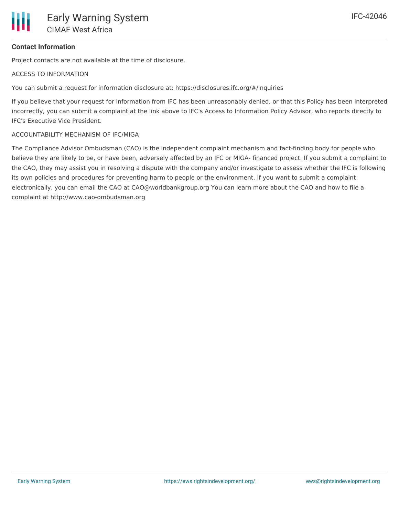# **Contact Information**

Project contacts are not available at the time of disclosure.

#### ACCESS TO INFORMATION

You can submit a request for information disclosure at: https://disclosures.ifc.org/#/inquiries

If you believe that your request for information from IFC has been unreasonably denied, or that this Policy has been interpreted incorrectly, you can submit a complaint at the link above to IFC's Access to Information Policy Advisor, who reports directly to IFC's Executive Vice President.

#### ACCOUNTABILITY MECHANISM OF IFC/MIGA

The Compliance Advisor Ombudsman (CAO) is the independent complaint mechanism and fact-finding body for people who believe they are likely to be, or have been, adversely affected by an IFC or MIGA- financed project. If you submit a complaint to the CAO, they may assist you in resolving a dispute with the company and/or investigate to assess whether the IFC is following its own policies and procedures for preventing harm to people or the environment. If you want to submit a complaint electronically, you can email the CAO at CAO@worldbankgroup.org You can learn more about the CAO and how to file a complaint at http://www.cao-ombudsman.org